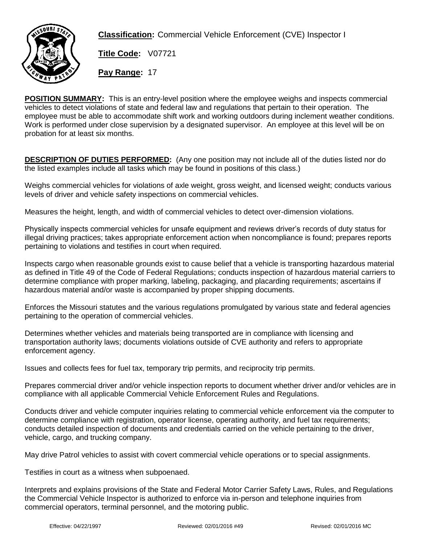

**Classification:** Commercial Vehicle Enforcement (CVE) Inspector I

**Title Code:** V07721

**Pay Range:** 17

**POSITION SUMMARY:** This is an entry-level position where the employee weighs and inspects commercial vehicles to detect violations of state and federal law and regulations that pertain to their operation. The employee must be able to accommodate shift work and working outdoors during inclement weather conditions. Work is performed under close supervision by a designated supervisor. An employee at this level will be on probation for at least six months.

**DESCRIPTION OF DUTIES PERFORMED:** (Any one position may not include all of the duties listed nor do the listed examples include all tasks which may be found in positions of this class.)

Weighs commercial vehicles for violations of axle weight, gross weight, and licensed weight; conducts various levels of driver and vehicle safety inspections on commercial vehicles.

Measures the height, length, and width of commercial vehicles to detect over-dimension violations.

Physically inspects commercial vehicles for unsafe equipment and reviews driver's records of duty status for illegal driving practices; takes appropriate enforcement action when noncompliance is found; prepares reports pertaining to violations and testifies in court when required.

Inspects cargo when reasonable grounds exist to cause belief that a vehicle is transporting hazardous material as defined in Title 49 of the Code of Federal Regulations; conducts inspection of hazardous material carriers to determine compliance with proper marking, labeling, packaging, and placarding requirements; ascertains if hazardous material and/or waste is accompanied by proper shipping documents.

Enforces the Missouri statutes and the various regulations promulgated by various state and federal agencies pertaining to the operation of commercial vehicles.

Determines whether vehicles and materials being transported are in compliance with licensing and transportation authority laws; documents violations outside of CVE authority and refers to appropriate enforcement agency.

Issues and collects fees for fuel tax, temporary trip permits, and reciprocity trip permits.

Prepares commercial driver and/or vehicle inspection reports to document whether driver and/or vehicles are in compliance with all applicable Commercial Vehicle Enforcement Rules and Regulations.

Conducts driver and vehicle computer inquiries relating to commercial vehicle enforcement via the computer to determine compliance with registration, operator license, operating authority, and fuel tax requirements; conducts detailed inspection of documents and credentials carried on the vehicle pertaining to the driver, vehicle, cargo, and trucking company.

May drive Patrol vehicles to assist with covert commercial vehicle operations or to special assignments.

Testifies in court as a witness when subpoenaed.

Interprets and explains provisions of the State and Federal Motor Carrier Safety Laws, Rules, and Regulations the Commercial Vehicle Inspector is authorized to enforce via in-person and telephone inquiries from commercial operators, terminal personnel, and the motoring public.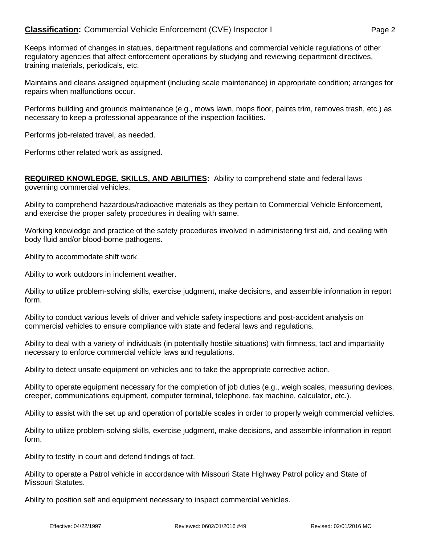# **Classification:** Commercial Vehicle Enforcement (CVE) Inspector I Page 2

Keeps informed of changes in statues, department regulations and commercial vehicle regulations of other regulatory agencies that affect enforcement operations by studying and reviewing department directives, training materials, periodicals, etc.

Maintains and cleans assigned equipment (including scale maintenance) in appropriate condition; arranges for repairs when malfunctions occur.

Performs building and grounds maintenance (e.g., mows lawn, mops floor, paints trim, removes trash, etc.) as necessary to keep a professional appearance of the inspection facilities.

Performs job-related travel, as needed.

Performs other related work as assigned.

#### **REQUIRED KNOWLEDGE, SKILLS, AND ABILITIES:** Ability to comprehend state and federal laws governing commercial vehicles.

Ability to comprehend hazardous/radioactive materials as they pertain to Commercial Vehicle Enforcement, and exercise the proper safety procedures in dealing with same.

Working knowledge and practice of the safety procedures involved in administering first aid, and dealing with body fluid and/or blood-borne pathogens.

Ability to accommodate shift work.

Ability to work outdoors in inclement weather.

Ability to utilize problem-solving skills, exercise judgment, make decisions, and assemble information in report form.

Ability to conduct various levels of driver and vehicle safety inspections and post-accident analysis on commercial vehicles to ensure compliance with state and federal laws and regulations.

Ability to deal with a variety of individuals (in potentially hostile situations) with firmness, tact and impartiality necessary to enforce commercial vehicle laws and regulations.

Ability to detect unsafe equipment on vehicles and to take the appropriate corrective action.

Ability to operate equipment necessary for the completion of job duties (e.g., weigh scales, measuring devices, creeper, communications equipment, computer terminal, telephone, fax machine, calculator, etc.).

Ability to assist with the set up and operation of portable scales in order to properly weigh commercial vehicles.

Ability to utilize problem-solving skills, exercise judgment, make decisions, and assemble information in report form.

Ability to testify in court and defend findings of fact.

Ability to operate a Patrol vehicle in accordance with Missouri State Highway Patrol policy and State of Missouri Statutes.

Ability to position self and equipment necessary to inspect commercial vehicles.